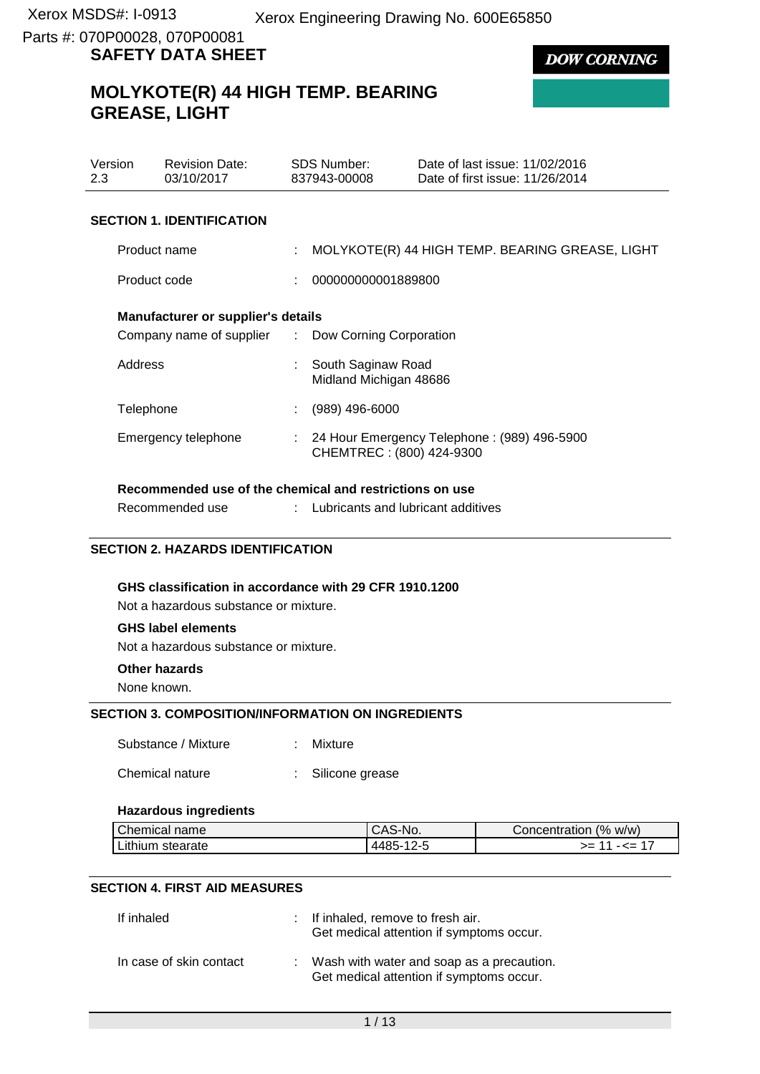**DOW CORNING** 

# **MOLYKOTE(R) 44 HIGH TEMP. BEARING GREASE, LIGHT**

| Version<br>2.3                                                                           | <b>Revision Date:</b><br>03/10/2017 | SDS Number:<br>837943-00008                  | Date of last issue: 11/02/2016<br>Date of first issue: 11/26/2014 |
|------------------------------------------------------------------------------------------|-------------------------------------|----------------------------------------------|-------------------------------------------------------------------|
| <b>SECTION 1. IDENTIFICATION</b>                                                         |                                     |                                              |                                                                   |
| Product name                                                                             |                                     |                                              | MOLYKOTE(R) 44 HIGH TEMP. BEARING GREASE, LIGHT                   |
| Product code                                                                             |                                     | 000000000001889800                           |                                                                   |
| Manufacturer or supplier's details<br>Company name of supplier : Dow Corning Corporation |                                     |                                              |                                                                   |
| Address                                                                                  |                                     | South Saginaw Road<br>Midland Michigan 48686 |                                                                   |
| Telephone                                                                                |                                     | (989) 496-6000                               |                                                                   |
|                                                                                          | Emergency telephone                 | CHEMTREC: (800) 424-9300                     | 24 Hour Emergency Telephone: (989) 496-5900                       |

# **Recommended use of the chemical and restrictions on use**

Recommended use : Lubricants and lubricant additives

#### **SECTION 2. HAZARDS IDENTIFICATION**

#### **GHS classification in accordance with 29 CFR 1910.1200**

Not a hazardous substance or mixture.

#### **GHS label elements**

Not a hazardous substance or mixture.

## **Other hazards**

None known.

#### **SECTION 3. COMPOSITION/INFORMATION ON INGREDIENTS**

Substance / Mixture : Mixture

Chemical nature : Silicone grease

#### **Hazardous ingredients**

| Chemical name        | CAS-No.   | (% w/w)<br>Concentration |
|----------------------|-----------|--------------------------|
| Lithium,<br>stearate | 1485-19-5 | —<= 1.<br>>= 1           |

#### **SECTION 4. FIRST AID MEASURES**

| If inhaled              | : If inhaled, remove to fresh air.<br>Get medical attention if symptoms occur.          |
|-------------------------|-----------------------------------------------------------------------------------------|
| In case of skin contact | : Wash with water and soap as a precaution.<br>Get medical attention if symptoms occur. |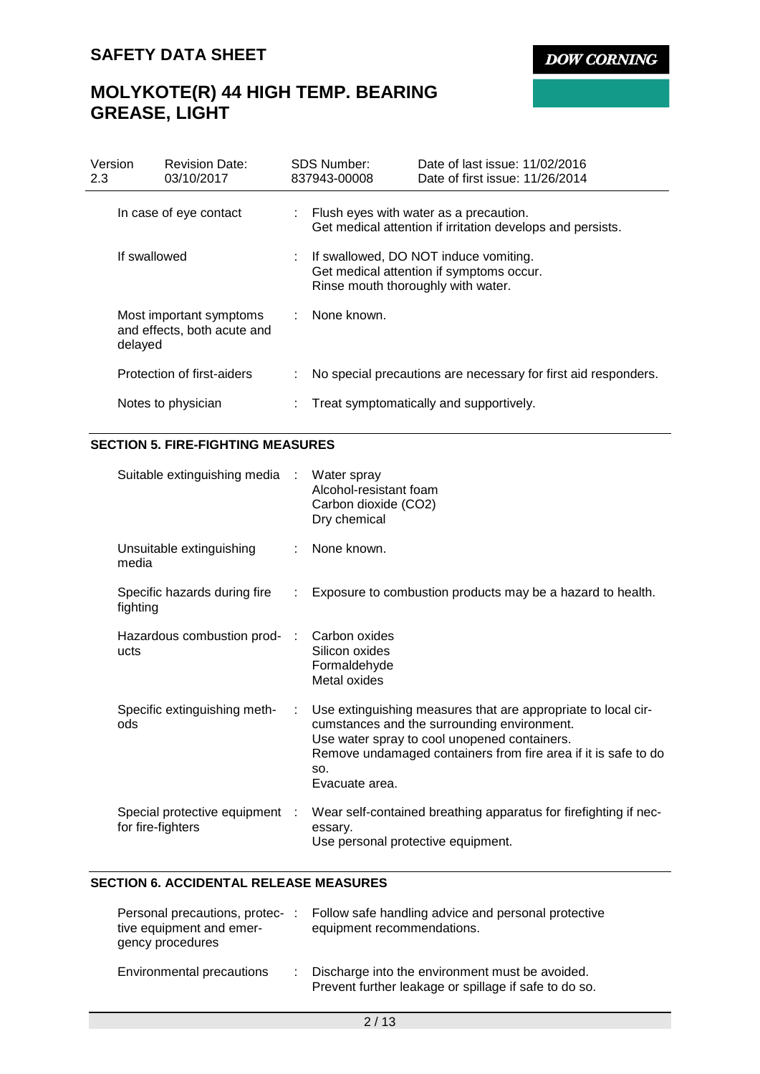**DOW CORNING** 

# **MOLYKOTE(R) 44 HIGH TEMP. BEARING GREASE, LIGHT**

| Version<br>2.3 |                        | <b>Revision Date:</b><br>03/10/2017                    | <b>SDS Number:</b><br>837943-00008                                                                                        | Date of last issue: 11/02/2016<br>Date of first issue: 11/26/2014 |  |  |  |
|----------------|------------------------|--------------------------------------------------------|---------------------------------------------------------------------------------------------------------------------------|-------------------------------------------------------------------|--|--|--|
|                | In case of eye contact |                                                        | : Flush eyes with water as a precaution.<br>Get medical attention if irritation develops and persists.                    |                                                                   |  |  |  |
|                | If swallowed           |                                                        | : If swallowed, DO NOT induce vomiting.<br>Get medical attention if symptoms occur.<br>Rinse mouth thoroughly with water. |                                                                   |  |  |  |
|                | delayed                | Most important symptoms<br>and effects, both acute and | : None known.                                                                                                             |                                                                   |  |  |  |
|                |                        | Protection of first-aiders                             |                                                                                                                           | No special precautions are necessary for first aid responders.    |  |  |  |
|                |                        | Notes to physician                                     |                                                                                                                           | : Treat symptomatically and supportively.                         |  |  |  |

### **SECTION 5. FIRE-FIGHTING MEASURES**

| Suitable extinguishing media :                      |                               | Water spray<br>Alcohol-resistant foam<br>Carbon dioxide (CO2)<br>Dry chemical                                                                                                                                                                           |
|-----------------------------------------------------|-------------------------------|---------------------------------------------------------------------------------------------------------------------------------------------------------------------------------------------------------------------------------------------------------|
| Unsuitable extinguishing<br>media                   |                               | : None known.                                                                                                                                                                                                                                           |
| Specific hazards during fire<br>fighting            | $\mathcal{L}^{\mathcal{L}}$ . | Exposure to combustion products may be a hazard to health.                                                                                                                                                                                              |
| Hazardous combustion prod-<br>ucts                  |                               | Carbon oxides<br>Silicon oxides<br>Formaldehyde<br>Metal oxides                                                                                                                                                                                         |
| Specific extinguishing meth-<br>ods                 | ÷.                            | Use extinguishing measures that are appropriate to local cir-<br>cumstances and the surrounding environment.<br>Use water spray to cool unopened containers.<br>Remove undamaged containers from fire area if it is safe to do<br>SO.<br>Evacuate area. |
| Special protective equipment :<br>for fire-fighters |                               | Wear self-contained breathing apparatus for firefighting if nec-<br>essary.<br>Use personal protective equipment.                                                                                                                                       |

### **SECTION 6. ACCIDENTAL RELEASE MEASURES**

| Personal precautions, protec-<br>tive equipment and emer-<br>gency procedures | Follow safe handling advice and personal protective<br>equipment recommendations.                          |
|-------------------------------------------------------------------------------|------------------------------------------------------------------------------------------------------------|
| Environmental precautions                                                     | : Discharge into the environment must be avoided.<br>Prevent further leakage or spillage if safe to do so. |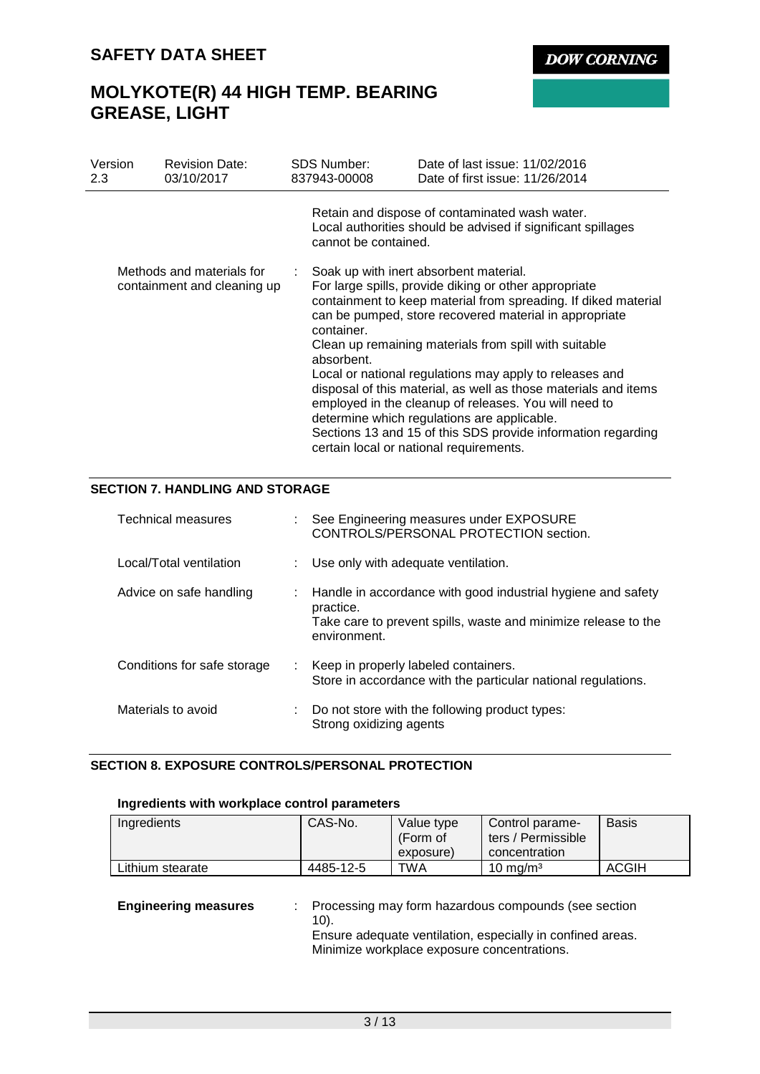**DOW CORNING** 

# **MOLYKOTE(R) 44 HIGH TEMP. BEARING GREASE, LIGHT**

| Version<br>2.3 | <b>Revision Date:</b><br>03/10/2017                      | <b>SDS Number:</b><br>837943-00008 | Date of last issue: 11/02/2016<br>Date of first issue: 11/26/2014                                                                                                                                                                                                                                                                                                                                                                                                                                                                                                                                                                     |
|----------------|----------------------------------------------------------|------------------------------------|---------------------------------------------------------------------------------------------------------------------------------------------------------------------------------------------------------------------------------------------------------------------------------------------------------------------------------------------------------------------------------------------------------------------------------------------------------------------------------------------------------------------------------------------------------------------------------------------------------------------------------------|
|                |                                                          | cannot be contained.               | Retain and dispose of contaminated wash water.<br>Local authorities should be advised if significant spillages                                                                                                                                                                                                                                                                                                                                                                                                                                                                                                                        |
|                | Methods and materials for<br>containment and cleaning up | container.<br>absorbent.           | Soak up with inert absorbent material.<br>For large spills, provide diking or other appropriate<br>containment to keep material from spreading. If diked material<br>can be pumped, store recovered material in appropriate<br>Clean up remaining materials from spill with suitable<br>Local or national regulations may apply to releases and<br>disposal of this material, as well as those materials and items<br>employed in the cleanup of releases. You will need to<br>determine which regulations are applicable.<br>Sections 13 and 15 of this SDS provide information regarding<br>certain local or national requirements. |

### **SECTION 7. HANDLING AND STORAGE**

| Technical measures          | : See Engineering measures under EXPOSURE<br>CONTROLS/PERSONAL PROTECTION section.                                                                          |
|-----------------------------|-------------------------------------------------------------------------------------------------------------------------------------------------------------|
| Local/Total ventilation     | : Use only with adequate ventilation.                                                                                                                       |
| Advice on safe handling     | Handle in accordance with good industrial hygiene and safety<br>practice.<br>Take care to prevent spills, waste and minimize release to the<br>environment. |
| Conditions for safe storage | : Keep in properly labeled containers.<br>Store in accordance with the particular national regulations.                                                     |
| Materials to avoid          | $\therefore$ Do not store with the following product types:<br>Strong oxidizing agents                                                                      |

## **SECTION 8. EXPOSURE CONTROLS/PERSONAL PROTECTION**

### **Ingredients with workplace control parameters**

| Ingredients      | CAS-No.   | Value type<br>(Form of<br>exposure) | Control parame-<br>ters / Permissible<br>concentration | <b>Basis</b> |
|------------------|-----------|-------------------------------------|--------------------------------------------------------|--------------|
| Lithium stearate | 4485-12-5 | TWA                                 | 10 mg/m $3$                                            | ACGIH        |

| <b>Engineering measures</b> | : Processing may form hazardous compounds (see section<br>$10$ .                                          |
|-----------------------------|-----------------------------------------------------------------------------------------------------------|
|                             | Ensure adequate ventilation, especially in confined areas.<br>Minimize workplace exposure concentrations. |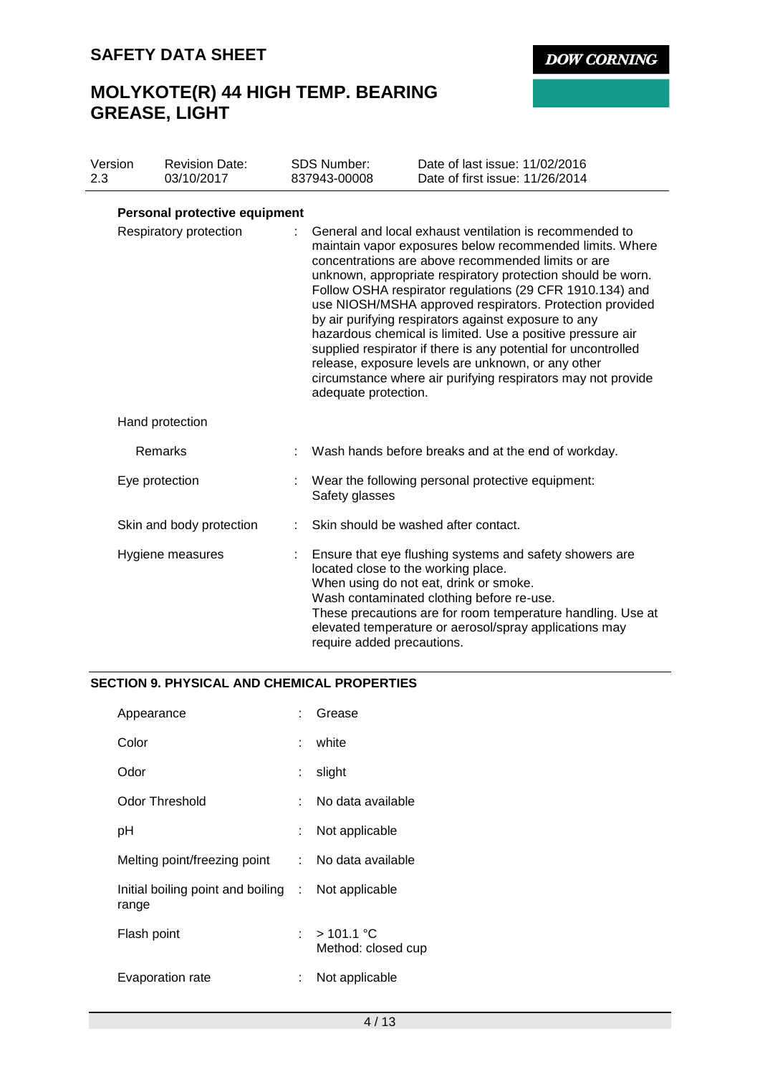**DOW CORNING** 

# **MOLYKOTE(R) 44 HIGH TEMP. BEARING GREASE, LIGHT**

| Version<br>2.3         |  | <b>Revision Date:</b><br>03/10/2017 |                                                                                                                                                                                                                                                                                                                                                                                                                                                                                                                                                                                                                                                                                                        | <b>SDS Number:</b><br>837943-00008                                | Date of last issue: 11/02/2016<br>Date of first issue: 11/26/2014                                                                                                                                                                                                       |
|------------------------|--|-------------------------------------|--------------------------------------------------------------------------------------------------------------------------------------------------------------------------------------------------------------------------------------------------------------------------------------------------------------------------------------------------------------------------------------------------------------------------------------------------------------------------------------------------------------------------------------------------------------------------------------------------------------------------------------------------------------------------------------------------------|-------------------------------------------------------------------|-------------------------------------------------------------------------------------------------------------------------------------------------------------------------------------------------------------------------------------------------------------------------|
|                        |  |                                     |                                                                                                                                                                                                                                                                                                                                                                                                                                                                                                                                                                                                                                                                                                        |                                                                   |                                                                                                                                                                                                                                                                         |
|                        |  | Personal protective equipment       |                                                                                                                                                                                                                                                                                                                                                                                                                                                                                                                                                                                                                                                                                                        |                                                                   |                                                                                                                                                                                                                                                                         |
| Respiratory protection |  |                                     | General and local exhaust ventilation is recommended to<br>maintain vapor exposures below recommended limits. Where<br>concentrations are above recommended limits or are<br>unknown, appropriate respiratory protection should be worn.<br>Follow OSHA respirator regulations (29 CFR 1910.134) and<br>use NIOSH/MSHA approved respirators. Protection provided<br>by air purifying respirators against exposure to any<br>hazardous chemical is limited. Use a positive pressure air<br>supplied respirator if there is any potential for uncontrolled<br>release, exposure levels are unknown, or any other<br>circumstance where air purifying respirators may not provide<br>adequate protection. |                                                                   |                                                                                                                                                                                                                                                                         |
|                        |  | Hand protection                     |                                                                                                                                                                                                                                                                                                                                                                                                                                                                                                                                                                                                                                                                                                        |                                                                   |                                                                                                                                                                                                                                                                         |
|                        |  | Remarks                             | t                                                                                                                                                                                                                                                                                                                                                                                                                                                                                                                                                                                                                                                                                                      |                                                                   | Wash hands before breaks and at the end of workday.                                                                                                                                                                                                                     |
|                        |  | Eye protection                      |                                                                                                                                                                                                                                                                                                                                                                                                                                                                                                                                                                                                                                                                                                        | Safety glasses                                                    | Wear the following personal protective equipment:                                                                                                                                                                                                                       |
|                        |  | Skin and body protection            |                                                                                                                                                                                                                                                                                                                                                                                                                                                                                                                                                                                                                                                                                                        |                                                                   | Skin should be washed after contact.                                                                                                                                                                                                                                    |
|                        |  | Hygiene measures                    |                                                                                                                                                                                                                                                                                                                                                                                                                                                                                                                                                                                                                                                                                                        | located close to the working place.<br>require added precautions. | Ensure that eye flushing systems and safety showers are<br>When using do not eat, drink or smoke.<br>Wash contaminated clothing before re-use.<br>These precautions are for room temperature handling. Use at<br>elevated temperature or aerosol/spray applications may |

## **SECTION 9. PHYSICAL AND CHEMICAL PROPERTIES**

| Appearance                                                  |    | Grease                            |
|-------------------------------------------------------------|----|-----------------------------------|
| Color                                                       |    | white                             |
| Odor                                                        |    | slight                            |
| Odor Threshold                                              |    | No data available                 |
| рH                                                          |    | Not applicable                    |
| Melting point/freezing point : No data available            |    |                                   |
| Initial boiling point and boiling : Not applicable<br>range |    |                                   |
| Flash point                                                 | t. | $>101.1$ °C<br>Method: closed cup |
| Evaporation rate                                            |    | Not applicable                    |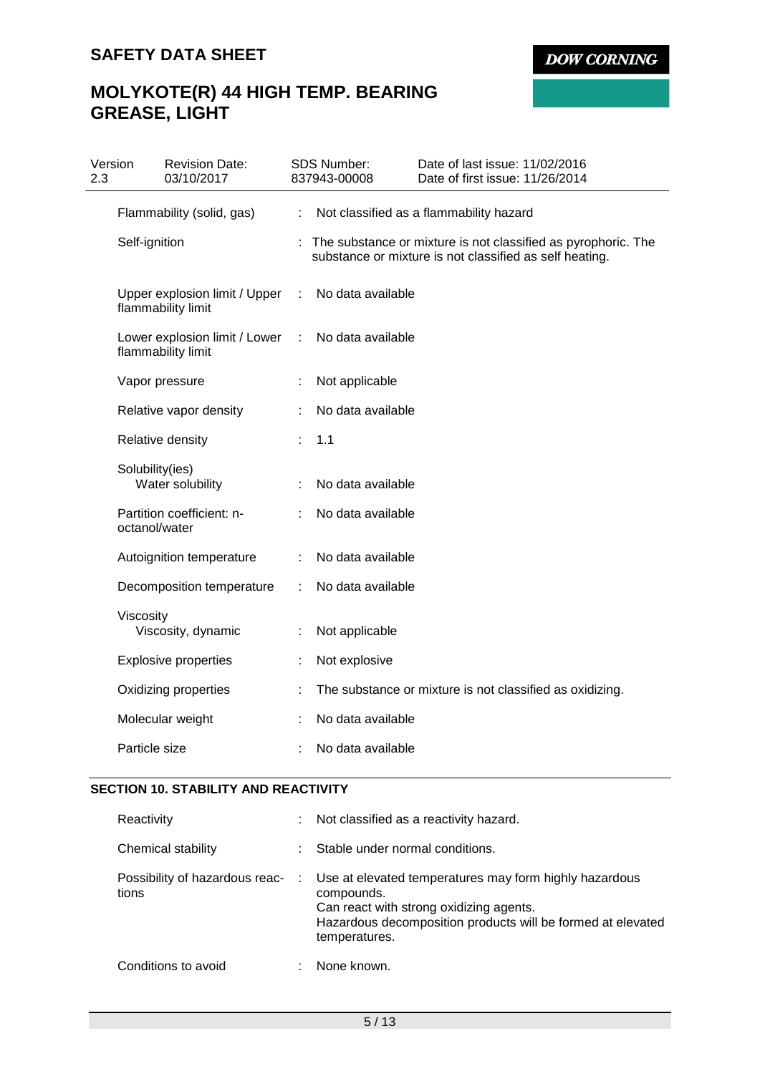# **MOLYKOTE(R) 44 HIGH TEMP. BEARING GREASE, LIGHT**

| Version<br>2.3 |                 | <b>Revision Date:</b><br>03/10/2017                 |    | <b>SDS Number:</b><br>837943-00008 | Date of last issue: 11/02/2016<br>Date of first issue: 11/26/2014                                                        |
|----------------|-----------------|-----------------------------------------------------|----|------------------------------------|--------------------------------------------------------------------------------------------------------------------------|
|                |                 | Flammability (solid, gas)                           | ÷  |                                    | Not classified as a flammability hazard                                                                                  |
|                | Self-ignition   |                                                     |    |                                    | The substance or mixture is not classified as pyrophoric. The<br>substance or mixture is not classified as self heating. |
|                |                 | Upper explosion limit / Upper<br>flammability limit | ÷  | No data available                  |                                                                                                                          |
|                |                 | Lower explosion limit / Lower<br>flammability limit | ÷  | No data available                  |                                                                                                                          |
|                |                 | Vapor pressure                                      |    | Not applicable                     |                                                                                                                          |
|                |                 | Relative vapor density                              |    | No data available                  |                                                                                                                          |
|                |                 | Relative density                                    | ×. | 1.1                                |                                                                                                                          |
|                | Solubility(ies) | Water solubility                                    |    | No data available                  |                                                                                                                          |
|                | octanol/water   | Partition coefficient: n-                           |    | No data available                  |                                                                                                                          |
|                |                 | Autoignition temperature                            |    | No data available                  |                                                                                                                          |
|                |                 | Decomposition temperature                           | ÷  | No data available                  |                                                                                                                          |
|                | Viscosity       | Viscosity, dynamic                                  |    | Not applicable                     |                                                                                                                          |
|                |                 | <b>Explosive properties</b>                         | ÷  | Not explosive                      |                                                                                                                          |
|                |                 | Oxidizing properties                                |    |                                    | The substance or mixture is not classified as oxidizing.                                                                 |
|                |                 | Molecular weight                                    |    | No data available                  |                                                                                                                          |
|                | Particle size   |                                                     |    | No data available                  |                                                                                                                          |

## **SECTION 10. STABILITY AND REACTIVITY**

| Reactivity                              |   | Not classified as a reactivity hazard.                                                                                                                                                          |
|-----------------------------------------|---|-------------------------------------------------------------------------------------------------------------------------------------------------------------------------------------------------|
| Chemical stability                      |   | Stable under normal conditions.                                                                                                                                                                 |
| Possibility of hazardous reac-<br>tions | ÷ | Use at elevated temperatures may form highly hazardous<br>compounds.<br>Can react with strong oxidizing agents.<br>Hazardous decomposition products will be formed at elevated<br>temperatures. |
| Conditions to avoid                     |   | None known.                                                                                                                                                                                     |

5 / 13

**DOW CORNING**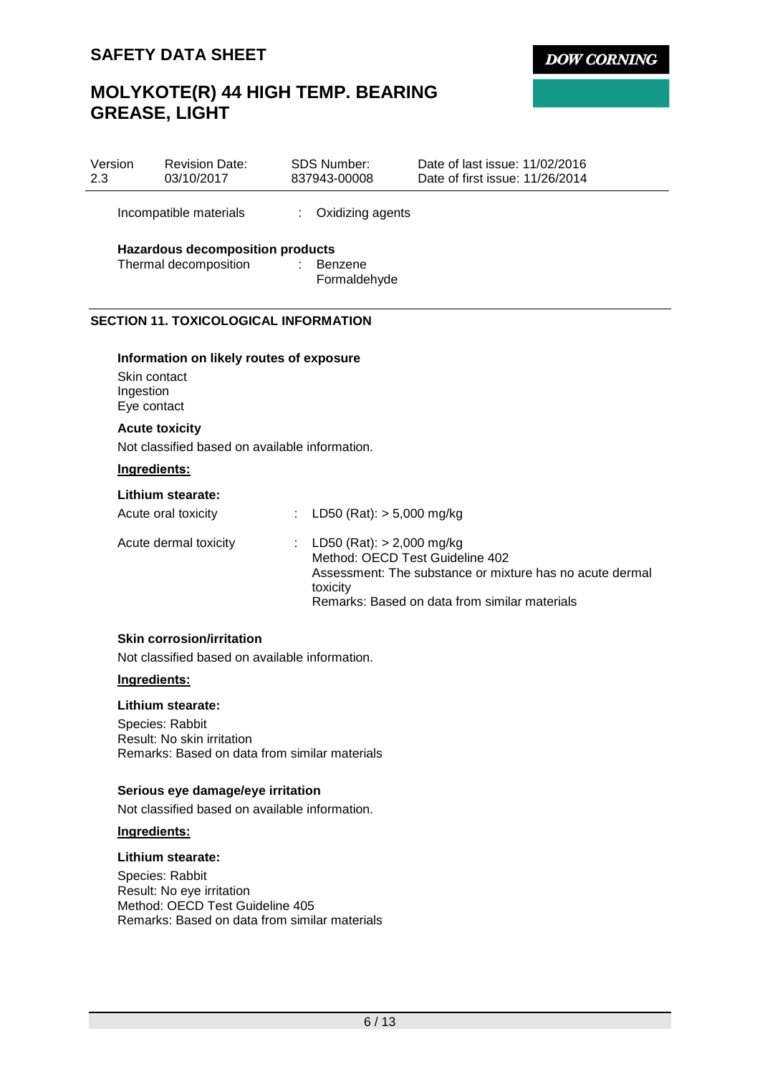## **MOLYKOTE(R) 44 HIGH TEMP. BEARING GREASE, LIGHT**

| Version<br>2.3 |                                          | <b>Revision Date:</b><br>03/10/2017            |    | <b>SDS Number:</b><br>837943-00008                                           | Date of last issue: 11/02/2016<br>Date of first issue: 11/26/2014                                         |
|----------------|------------------------------------------|------------------------------------------------|----|------------------------------------------------------------------------------|-----------------------------------------------------------------------------------------------------------|
|                |                                          | Incompatible materials                         |    | Oxidizing agents                                                             |                                                                                                           |
|                |                                          | <b>Hazardous decomposition products</b>        |    |                                                                              |                                                                                                           |
|                |                                          | Thermal decomposition                          | ÷. | Benzene<br>Formaldehyde                                                      |                                                                                                           |
|                |                                          | <b>SECTION 11. TOXICOLOGICAL INFORMATION</b>   |    |                                                                              |                                                                                                           |
|                |                                          | Information on likely routes of exposure       |    |                                                                              |                                                                                                           |
|                | Skin contact<br>Ingestion<br>Eye contact |                                                |    |                                                                              |                                                                                                           |
|                | <b>Acute toxicity</b>                    |                                                |    |                                                                              |                                                                                                           |
|                |                                          | Not classified based on available information. |    |                                                                              |                                                                                                           |
|                | Ingredients:                             |                                                |    |                                                                              |                                                                                                           |
|                |                                          | Lithium stearate:                              |    |                                                                              |                                                                                                           |
|                |                                          | Acute oral toxicity                            |    | LD50 (Rat): $> 5,000$ mg/kg                                                  |                                                                                                           |
|                |                                          | Acute dermal toxicity                          |    | : LD50 (Rat): $> 2,000$ mg/kg<br>Method: OECD Test Guideline 402<br>toxicity | Assessment: The substance or mixture has no acute dermal<br>Remarks: Based on data from similar materials |
|                |                                          | <b>Skin corrosion/irritation</b>               |    |                                                                              |                                                                                                           |

**DOW CORNING** 

Not classified based on available information.

#### **Ingredients:**

#### **Lithium stearate:**

Species: Rabbit Result: No skin irritation Remarks: Based on data from similar materials

## **Serious eye damage/eye irritation**

Not classified based on available information.

## **Ingredients:**

#### **Lithium stearate:**

Species: Rabbit Result: No eye irritation Method: OECD Test Guideline 405 Remarks: Based on data from similar materials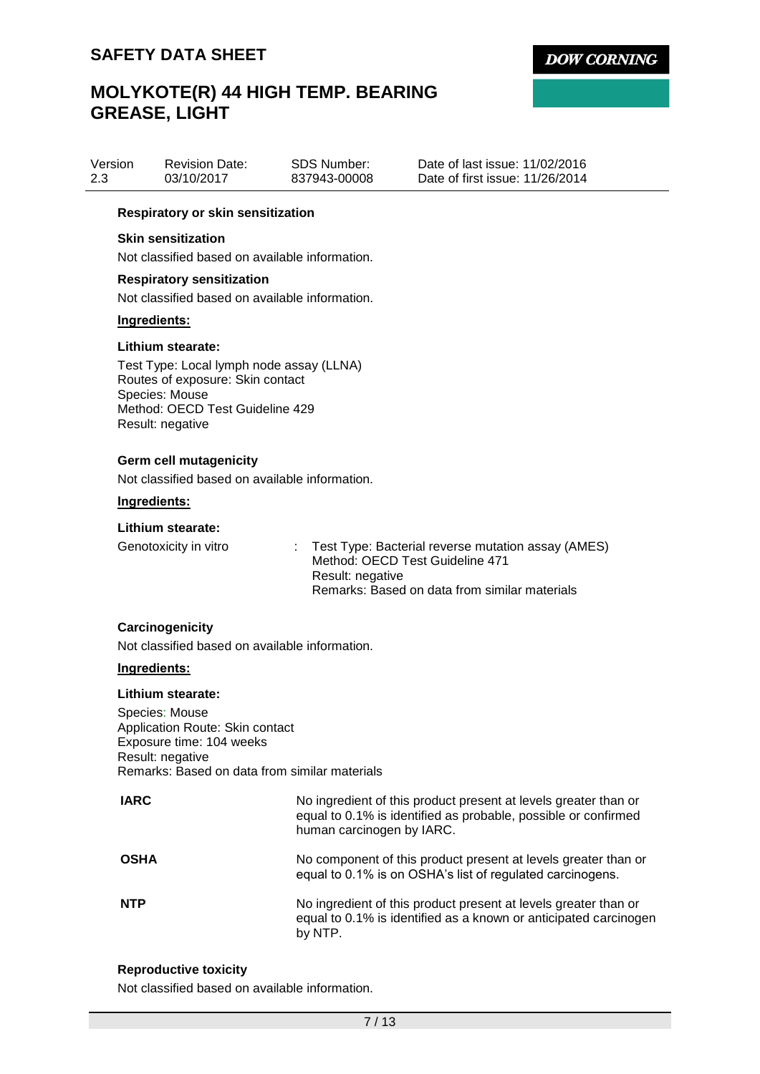# **MOLYKOTE(R) 44 HIGH TEMP. BEARING GREASE, LIGHT**

| Version | <b>Revision Date:</b> | SDS Number:  | Date of last issue: 11/02/2016  |
|---------|-----------------------|--------------|---------------------------------|
| 2.3     | 03/10/2017            | 837943-00008 | Date of first issue: 11/26/2014 |

#### **Respiratory or skin sensitization**

#### **Skin sensitization**

Not classified based on available information.

#### **Respiratory sensitization**

Not classified based on available information.

#### **Ingredients:**

#### **Lithium stearate:**

Test Type: Local lymph node assay (LLNA) Routes of exposure: Skin contact Species: Mouse Method: OECD Test Guideline 429 Result: negative

#### **Germ cell mutagenicity**

Not classified based on available information.

#### **Ingredients:**

#### **Lithium stearate:**

| Genotoxicity in vitro | : Test Type: Bacterial reverse mutation assay (AMES) |
|-----------------------|------------------------------------------------------|
|                       | Method: OECD Test Guideline 471                      |
|                       | Result: negative                                     |
|                       | Remarks: Based on data from similar materials        |

#### **Carcinogenicity**

Not classified based on available information.

#### **Ingredients:**

#### **Lithium stearate:**

Species: Mouse Application Route: Skin contact Exposure time: 104 weeks Result: negative Remarks: Based on data from similar materials

| <b>IARC</b> | No ingredient of this product present at levels greater than or<br>equal to 0.1% is identified as probable, possible or confirmed<br>human carcinogen by IARC. |
|-------------|----------------------------------------------------------------------------------------------------------------------------------------------------------------|
| <b>OSHA</b> | No component of this product present at levels greater than or<br>equal to 0.1% is on OSHA's list of regulated carcinogens.                                    |
| <b>NTP</b>  | No ingredient of this product present at levels greater than or<br>equal to 0.1% is identified as a known or anticipated carcinogen<br>by NTP.                 |

#### **Reproductive toxicity**

Not classified based on available information.

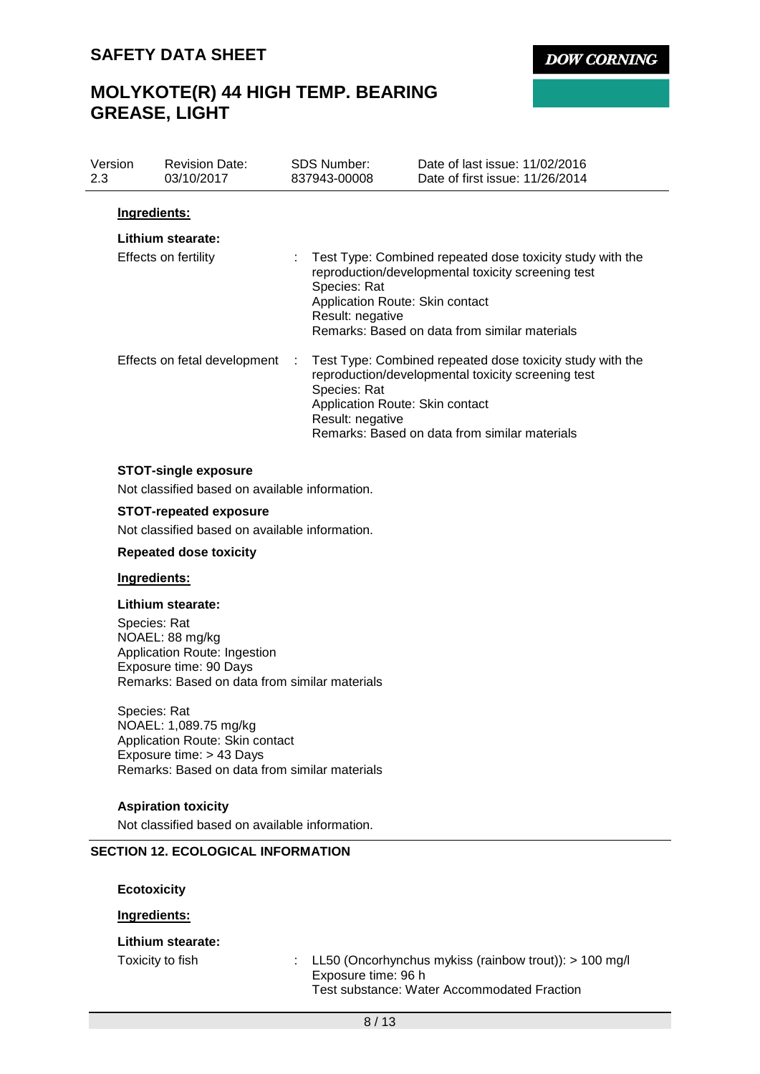**DOW CORNING** 

# **MOLYKOTE(R) 44 HIGH TEMP. BEARING GREASE, LIGHT**

| Version<br>2.3 | <b>Revision Date:</b><br>03/10/2017                                                                                                             | <b>SDS Number:</b><br>837943-00008                                  | Date of last issue: 11/02/2016<br>Date of first issue: 11/26/2014                                                                                                |
|----------------|-------------------------------------------------------------------------------------------------------------------------------------------------|---------------------------------------------------------------------|------------------------------------------------------------------------------------------------------------------------------------------------------------------|
| Ingredients:   |                                                                                                                                                 |                                                                     |                                                                                                                                                                  |
|                | Lithium stearate:                                                                                                                               |                                                                     |                                                                                                                                                                  |
|                | Effects on fertility                                                                                                                            | Species: Rat<br>Application Route: Skin contact<br>Result: negative | Test Type: Combined repeated dose toxicity study with the<br>reproduction/developmental toxicity screening test<br>Remarks: Based on data from similar materials |
|                | Effects on fetal development                                                                                                                    | Species: Rat<br>Application Route: Skin contact<br>Result: negative | Test Type: Combined repeated dose toxicity study with the<br>reproduction/developmental toxicity screening test<br>Remarks: Based on data from similar materials |
|                | <b>STOT-single exposure</b>                                                                                                                     |                                                                     |                                                                                                                                                                  |
|                | Not classified based on available information.                                                                                                  |                                                                     |                                                                                                                                                                  |
|                | <b>STOT-repeated exposure</b>                                                                                                                   |                                                                     |                                                                                                                                                                  |
|                | Not classified based on available information.                                                                                                  |                                                                     |                                                                                                                                                                  |
|                | <b>Repeated dose toxicity</b>                                                                                                                   |                                                                     |                                                                                                                                                                  |
| Ingredients:   |                                                                                                                                                 |                                                                     |                                                                                                                                                                  |
| Species: Rat   | Lithium stearate:<br>NOAEL: 88 mg/kg<br>Application Route: Ingestion<br>Exposure time: 90 Days<br>Remarks: Based on data from similar materials |                                                                     |                                                                                                                                                                  |
| Species: Rat   | NOAEL: 1,089.75 mg/kg<br>Application Route: Skin contact<br>Exposure time: > 43 Days<br>Remarks: Based on data from similar materials           |                                                                     |                                                                                                                                                                  |

#### **Aspiration toxicity**

Not classified based on available information.

### **SECTION 12. ECOLOGICAL INFORMATION**

**Ecotoxicity**

**Ingredients:**

#### **Lithium stearate:**

Toxicity to fish : LL50 (Oncorhynchus mykiss (rainbow trout)): > 100 mg/l Exposure time: 96 h Test substance: Water Accommodated Fraction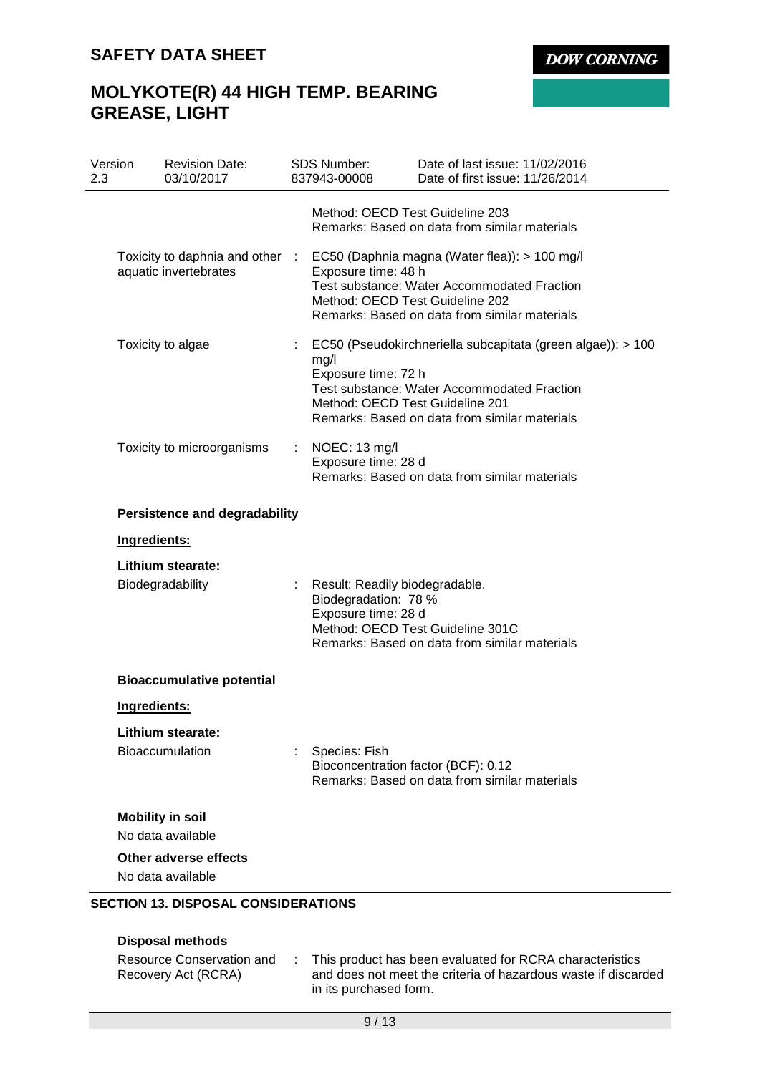**DOW CORNING** 

# **MOLYKOTE(R) 44 HIGH TEMP. BEARING GREASE, LIGHT**

| Version | <b>Revision Date:</b><br>03/10/2017                      |                | <b>SDS Number:</b><br>837943-00008                                            | Date of last issue: 11/02/2016<br>Date of first issue: 11/26/2014                                                                                                                                     |
|---------|----------------------------------------------------------|----------------|-------------------------------------------------------------------------------|-------------------------------------------------------------------------------------------------------------------------------------------------------------------------------------------------------|
|         |                                                          |                |                                                                               | Method: OECD Test Guideline 203<br>Remarks: Based on data from similar materials                                                                                                                      |
|         | Toxicity to daphnia and other :<br>aquatic invertebrates |                | Exposure time: 48 h                                                           | EC50 (Daphnia magna (Water flea)): > 100 mg/l<br><b>Test substance: Water Accommodated Fraction</b><br>Method: OECD Test Guideline 202<br>Remarks: Based on data from similar materials               |
|         | Toxicity to algae                                        | $\mathbb{Z}^n$ | mg/l<br>Exposure time: 72 h                                                   | EC50 (Pseudokirchneriella subcapitata (green algae)): > 100<br><b>Test substance: Water Accommodated Fraction</b><br>Method: OECD Test Guideline 201<br>Remarks: Based on data from similar materials |
|         | Toxicity to microorganisms                               | ÷.             | NOEC: 13 mg/l<br>Exposure time: 28 d                                          | Remarks: Based on data from similar materials                                                                                                                                                         |
|         | <b>Persistence and degradability</b>                     |                |                                                                               |                                                                                                                                                                                                       |
|         |                                                          |                |                                                                               |                                                                                                                                                                                                       |
|         | Ingredients:                                             |                |                                                                               |                                                                                                                                                                                                       |
|         | Lithium stearate:                                        |                |                                                                               |                                                                                                                                                                                                       |
|         | Biodegradability                                         |                | Result: Readily biodegradable.<br>Biodegradation: 78 %<br>Exposure time: 28 d | Method: OECD Test Guideline 301C<br>Remarks: Based on data from similar materials                                                                                                                     |
|         | <b>Bioaccumulative potential</b>                         |                |                                                                               |                                                                                                                                                                                                       |
|         | Ingredients:                                             |                |                                                                               |                                                                                                                                                                                                       |
|         | Lithium stearate:                                        |                |                                                                               |                                                                                                                                                                                                       |
|         | <b>Bioaccumulation</b>                                   |                | Species: Fish                                                                 | Bioconcentration factor (BCF): 0.12<br>Remarks: Based on data from similar materials                                                                                                                  |
|         | <b>Mobility in soil</b><br>No data available             |                |                                                                               |                                                                                                                                                                                                       |
|         | Other adverse effects<br>No data available               |                |                                                                               |                                                                                                                                                                                                       |

## **Disposal methods**

| Resource Conservation and | This product has been evaluated for RCRA characteristics       |
|---------------------------|----------------------------------------------------------------|
| Recovery Act (RCRA)       | and does not meet the criteria of hazardous waste if discarded |
|                           | in its purchased form.                                         |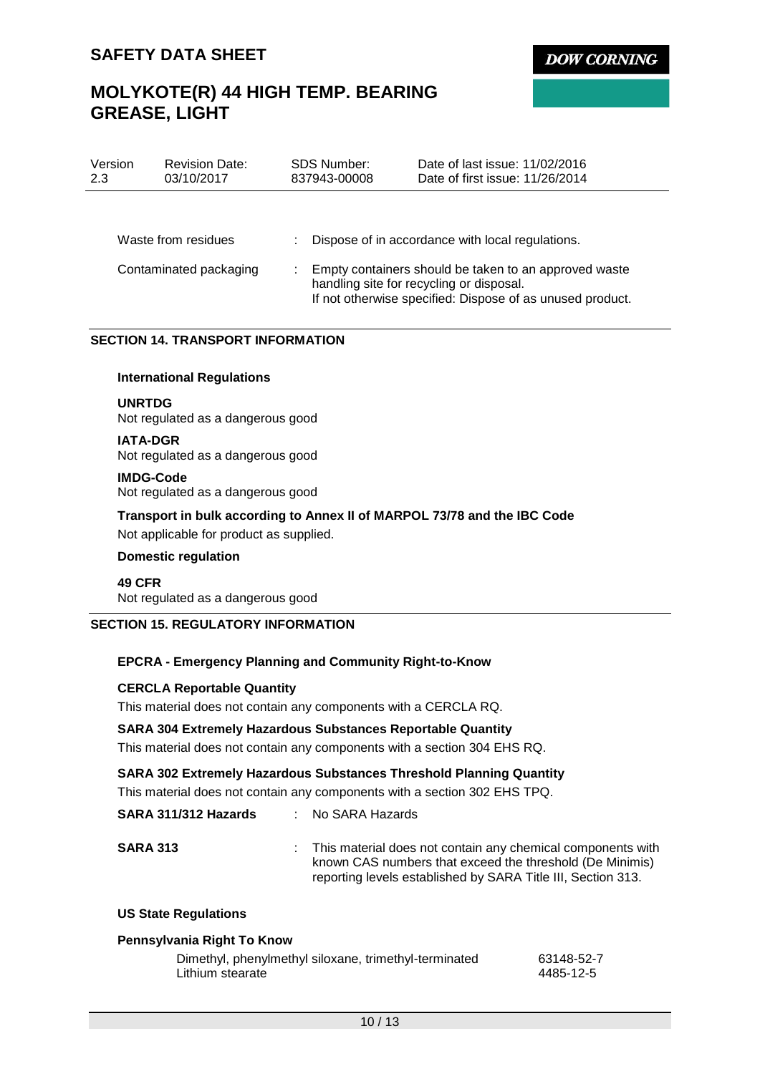**DOW CORNING** 

# **MOLYKOTE(R) 44 HIGH TEMP. BEARING GREASE, LIGHT**

| Version<br>2.3 | <b>Revision Date:</b><br>03/10/2017 | <b>SDS Number:</b><br>837943-00008 | Date of last issue: 11/02/2016<br>Date of first issue: 11/26/2014                                                                                              |
|----------------|-------------------------------------|------------------------------------|----------------------------------------------------------------------------------------------------------------------------------------------------------------|
|                |                                     |                                    |                                                                                                                                                                |
|                | Waste from residues                 |                                    | Dispose of in accordance with local regulations.                                                                                                               |
|                | Contaminated packaging              |                                    | Empty containers should be taken to an approved waste<br>handling site for recycling or disposal.<br>If not otherwise specified: Dispose of as unused product. |

#### **SECTION 14. TRANSPORT INFORMATION**

#### **International Regulations**

### **UNRTDG**

Not regulated as a dangerous good

#### **IATA-DGR**

Not regulated as a dangerous good

#### **IMDG-Code**

Not regulated as a dangerous good

#### **Transport in bulk according to Annex II of MARPOL 73/78 and the IBC Code**

Not applicable for product as supplied.

#### **Domestic regulation**

#### **49 CFR**

Not regulated as a dangerous good

### **SECTION 15. REGULATORY INFORMATION**

#### **EPCRA - Emergency Planning and Community Right-to-Know**

#### **CERCLA Reportable Quantity**

This material does not contain any components with a CERCLA RQ.

#### **SARA 304 Extremely Hazardous Substances Reportable Quantity**

This material does not contain any components with a section 304 EHS RQ.

#### **SARA 302 Extremely Hazardous Substances Threshold Planning Quantity**

This material does not contain any components with a section 302 EHS TPQ.

| SARA 311/312 Hazards | : No SARA Hazards                                                                                                                                                                         |
|----------------------|-------------------------------------------------------------------------------------------------------------------------------------------------------------------------------------------|
| <b>SARA 313</b>      | : This material does not contain any chemical components with<br>known CAS numbers that exceed the threshold (De Minimis)<br>reporting levels established by SARA Title III, Section 313. |

#### **US State Regulations**

#### **Pennsylvania Right To Know**

| Dimethyl, phenylmethyl siloxane, trimethyl-terminated | 63148-52-7 |
|-------------------------------------------------------|------------|
| Lithium stearate                                      | 4485-12-5  |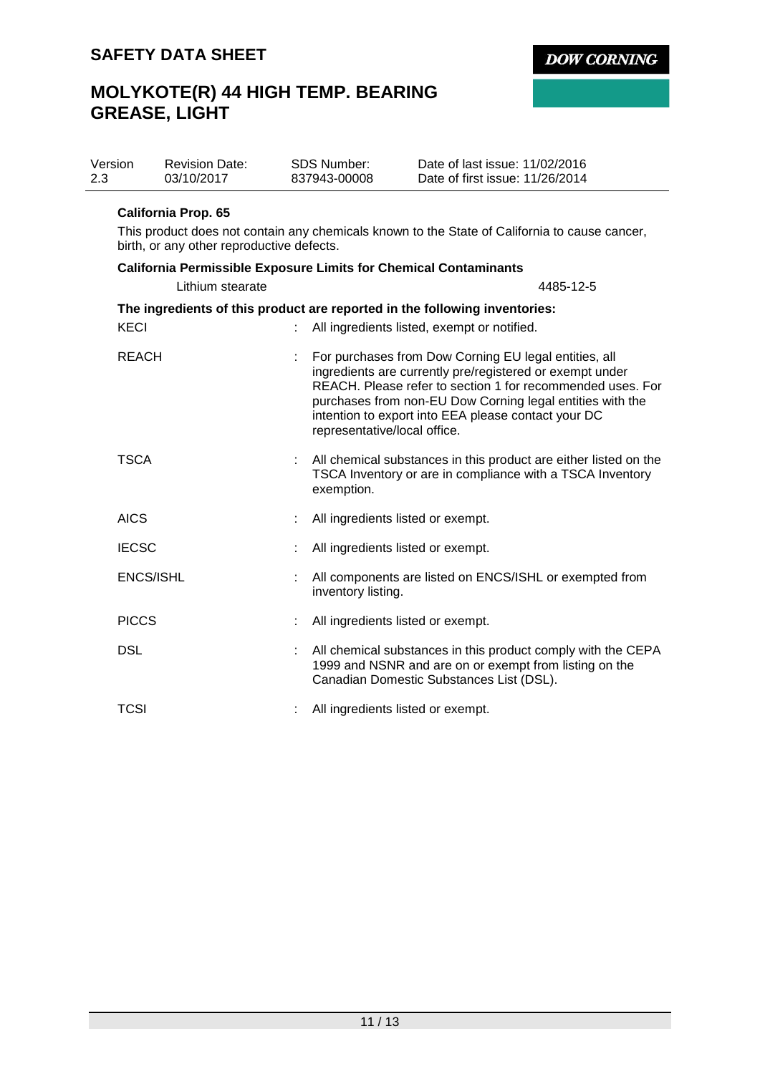# **MOLYKOTE(R) 44 HIGH TEMP. BEARING GREASE, LIGHT**

| Version | <b>Revision Date:</b> | SDS Number:  | Date of last issue: 11/02/2016  |
|---------|-----------------------|--------------|---------------------------------|
| 2.3     | 03/10/2017            | 837943-00008 | Date of first issue: 11/26/2014 |

#### **California Prop. 65**

This product does not contain any chemicals known to the State of California to cause cancer, birth, or any other reproductive defects.

**DOW CORNING** 

| <b>California Permissible Exposure Limits for Chemical Contaminants</b> |   |                                                                                                                                                                                                                                                                                                                                     |
|-------------------------------------------------------------------------|---|-------------------------------------------------------------------------------------------------------------------------------------------------------------------------------------------------------------------------------------------------------------------------------------------------------------------------------------|
| Lithium stearate                                                        |   | 4485-12-5                                                                                                                                                                                                                                                                                                                           |
| <b>KECI</b>                                                             |   | The ingredients of this product are reported in the following inventories:<br>All ingredients listed, exempt or notified.                                                                                                                                                                                                           |
| <b>REACH</b>                                                            |   | For purchases from Dow Corning EU legal entities, all<br>ingredients are currently pre/registered or exempt under<br>REACH. Please refer to section 1 for recommended uses. For<br>purchases from non-EU Dow Corning legal entities with the<br>intention to export into EEA please contact your DC<br>representative/local office. |
| <b>TSCA</b>                                                             |   | All chemical substances in this product are either listed on the<br>TSCA Inventory or are in compliance with a TSCA Inventory<br>exemption.                                                                                                                                                                                         |
| <b>AICS</b>                                                             |   | All ingredients listed or exempt.                                                                                                                                                                                                                                                                                                   |
| <b>IECSC</b>                                                            |   | All ingredients listed or exempt.                                                                                                                                                                                                                                                                                                   |
| <b>ENCS/ISHL</b>                                                        |   | All components are listed on ENCS/ISHL or exempted from<br>inventory listing.                                                                                                                                                                                                                                                       |
| <b>PICCS</b>                                                            | ÷ | All ingredients listed or exempt.                                                                                                                                                                                                                                                                                                   |
| <b>DSL</b>                                                              |   | All chemical substances in this product comply with the CEPA<br>1999 and NSNR and are on or exempt from listing on the<br>Canadian Domestic Substances List (DSL).                                                                                                                                                                  |
| TCSI                                                                    |   | All ingredients listed or exempt.                                                                                                                                                                                                                                                                                                   |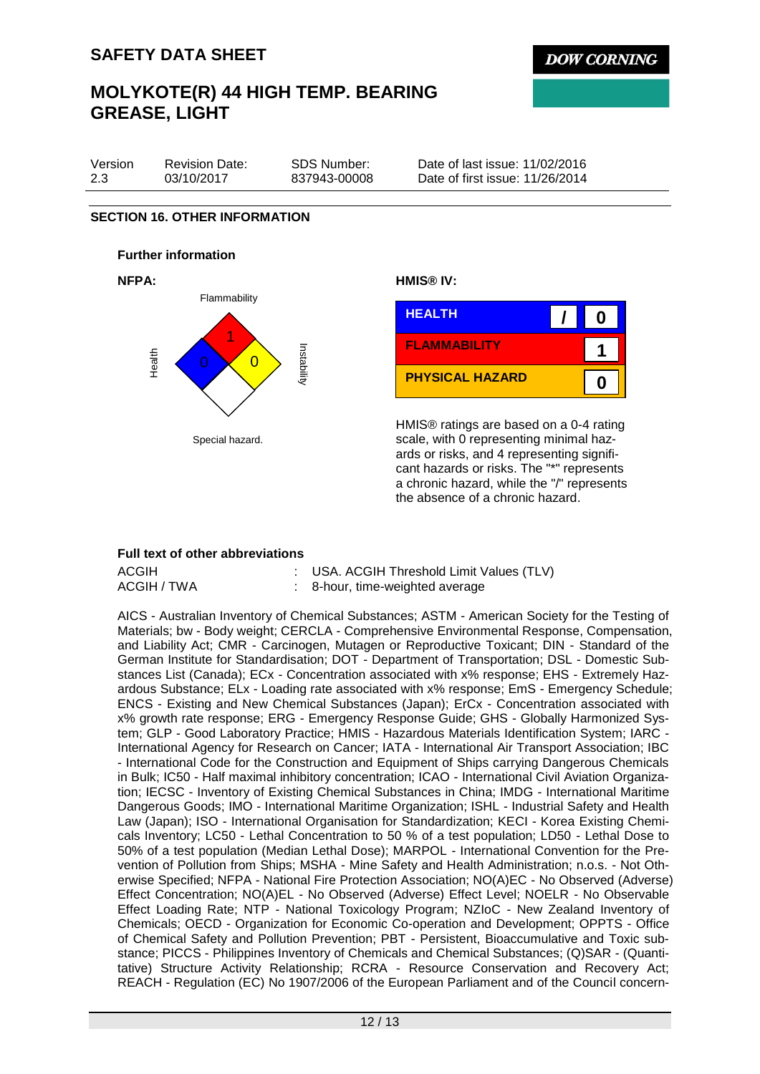## **MOLYKOTE(R) 44 HIGH TEMP. BEARING GREASE, LIGHT**

| Version | <b>Revision Date:</b> | SDS Number:  | Date of last issue: 11/02/2016  |
|---------|-----------------------|--------------|---------------------------------|
| 2.3     | 03/10/2017            | 837943-00008 | Date of first issue: 11/26/2014 |

#### **SECTION 16. OTHER INFORMATION**

## **Further information**





HMIS® ratings are based on a 0-4 rating scale, with 0 representing minimal hazards or risks, and 4 representing significant hazards or risks. The "\*" represents a chronic hazard, while the "/" represents the absence of a chronic hazard.

#### **Full text of other abbreviations**

| ACGIH       | : USA. ACGIH Threshold Limit Values (TLV) |
|-------------|-------------------------------------------|
| ACGIH / TWA | : 8-hour, time-weighted average           |

AICS - Australian Inventory of Chemical Substances; ASTM - American Society for the Testing of Materials; bw - Body weight; CERCLA - Comprehensive Environmental Response, Compensation, and Liability Act; CMR - Carcinogen, Mutagen or Reproductive Toxicant; DIN - Standard of the German Institute for Standardisation; DOT - Department of Transportation; DSL - Domestic Substances List (Canada); ECx - Concentration associated with x% response; EHS - Extremely Hazardous Substance; ELx - Loading rate associated with x% response; EmS - Emergency Schedule; ENCS - Existing and New Chemical Substances (Japan); ErCx - Concentration associated with x% growth rate response; ERG - Emergency Response Guide; GHS - Globally Harmonized System; GLP - Good Laboratory Practice; HMIS - Hazardous Materials Identification System; IARC - International Agency for Research on Cancer; IATA - International Air Transport Association; IBC - International Code for the Construction and Equipment of Ships carrying Dangerous Chemicals in Bulk; IC50 - Half maximal inhibitory concentration; ICAO - International Civil Aviation Organization; IECSC - Inventory of Existing Chemical Substances in China; IMDG - International Maritime Dangerous Goods; IMO - International Maritime Organization; ISHL - Industrial Safety and Health Law (Japan); ISO - International Organisation for Standardization; KECI - Korea Existing Chemicals Inventory; LC50 - Lethal Concentration to 50 % of a test population; LD50 - Lethal Dose to 50% of a test population (Median Lethal Dose); MARPOL - International Convention for the Prevention of Pollution from Ships; MSHA - Mine Safety and Health Administration; n.o.s. - Not Otherwise Specified; NFPA - National Fire Protection Association; NO(A)EC - No Observed (Adverse) Effect Concentration; NO(A)EL - No Observed (Adverse) Effect Level; NOELR - No Observable Effect Loading Rate; NTP - National Toxicology Program; NZIoC - New Zealand Inventory of Chemicals; OECD - Organization for Economic Co-operation and Development; OPPTS - Office of Chemical Safety and Pollution Prevention; PBT - Persistent, Bioaccumulative and Toxic substance; PICCS - Philippines Inventory of Chemicals and Chemical Substances; (Q)SAR - (Quantitative) Structure Activity Relationship; RCRA - Resource Conservation and Recovery Act; REACH - Regulation (EC) No 1907/2006 of the European Parliament and of the Council concern-